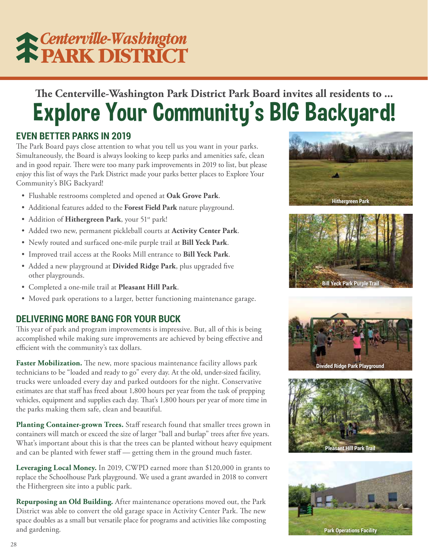# **K Centerville-Washington**<br> **K PARK DISTRICT**

### **The Centerville-Washington Park District Park Board invites all residents to ...** Explore Your Community's BIG Backyard!

### **EVEN BETTER PARKS IN 2019**

The Park Board pays close attention to what you tell us you want in your parks. Simultaneously, the Board is always looking to keep parks and amenities safe, clean and in good repair. There were too many park improvements in 2019 to list, but please enjoy this list of ways the Park District made your parks better places to Explore Your Community's BIG Backyard!

- Flushable restrooms completed and opened at **Oak Grove Park**.
- Additional features added to the **Forest Field Park** nature playground.
- Addition of Hithergreen Park, your 51<sup>st</sup> park!
- Added two new, permanent pickleball courts at **Activity Center Park**.
- Newly routed and surfaced one-mile purple trail at **Bill Yeck Park**.
- Improved trail access at the Rooks Mill entrance to **Bill Yeck Park**.
- Added a new playground at **Divided Ridge Park**, plus upgraded five other playgrounds.
- Completed a one-mile trail at **Pleasant Hill Park**.
- Moved park operations to a larger, better functioning maintenance garage.

### **DELIVERING MORE BANG FOR YOUR BUCK**

This year of park and program improvements is impressive. But, all of this is being accomplished while making sure improvements are achieved by being effective and efficient with the community's tax dollars.

**Faster Mobilization.** The new, more spacious maintenance facility allows park technicians to be "loaded and ready to go" every day. At the old, under-sized facility, trucks were unloaded every day and parked outdoors for the night. Conservative estimates are that staff has freed about 1,800 hours per year from the task of prepping vehicles, equipment and supplies each day. That's 1,800 hours per year of more time in the parks making them safe, clean and beautiful.

**Planting Container-grown Trees.** Staff research found that smaller trees grown in containers will match or exceed the size of larger "ball and burlap" trees after five years. What's important about this is that the trees can be planted without heavy equipment and can be planted with fewer staff — getting them in the ground much faster.

**Leveraging Local Money.** In 2019, CWPD earned more than \$120,000 in grants to replace the Schoolhouse Park playground. We used a grant awarded in 2018 to convert the Hithergreen site into a public park.

**Repurposing an Old Building.** After maintenance operations moved out, the Park District was able to convert the old garage space in Activity Center Park. The new space doubles as a small but versatile place for programs and activities like composting and gardening.









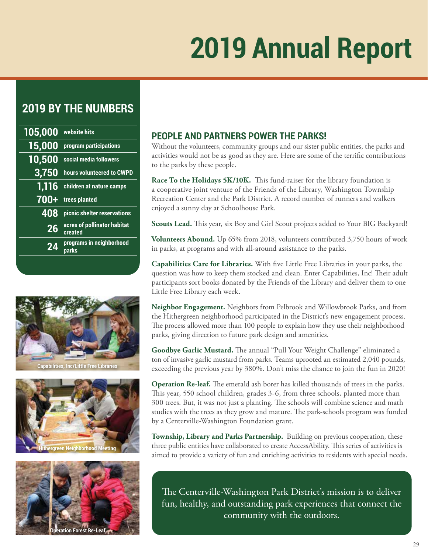## **2019 Annual Report**

### **2019 BY THE NUMBERS**

| 105,000       | website hits                           |
|---------------|----------------------------------------|
| 15,000        | program participations                 |
| <u>10,500</u> | social media followers                 |
| 3,750         | hours volunteered to CWPD              |
| 1,116         | children at nature camps               |
| 700+          | trees planted                          |
| 408           | picnic shelter reservations            |
| 26            | acres of pollinator habitat<br>created |
| 24            | programs in neighborhood<br>parks      |
|               |                                        |



**Capabilities, Inc/Little Free Libraries**





### **PEOPLE AND PARTNERS POWER THE PARKS!**

Without the volunteers, community groups and our sister public entities, the parks and activities would not be as good as they are. Here are some of the terrific contributions to the parks by these people.

**Race To the Holidays 5K/10K.** This fund-raiser for the library foundation is a cooperative joint venture of the Friends of the Library, Washington Township Recreation Center and the Park District. A record number of runners and walkers enjoyed a sunny day at Schoolhouse Park.

**Scouts Lead.** This year, six Boy and Girl Scout projects added to Your BIG Backyard!

**Volunteers Abound.** Up 65% from 2018, volunteers contributed 3,750 hours of work in parks, at programs and with all-around assistance to the parks.

**Capabilities Care for Libraries.** With five Little Free Libraries in your parks, the question was how to keep them stocked and clean. Enter Capabilities, Inc! Their adult participants sort books donated by the Friends of the Library and deliver them to one Little Free Library each week.

**Neighbor Engagement.** Neighbors from Pelbrook and Willowbrook Parks, and from the Hithergreen neighborhood participated in the District's new engagement process. The process allowed more than 100 people to explain how they use their neighborhood parks, giving direction to future park design and amenities.

**Goodbye Garlic Mustard.** The annual "Pull Your Weight Challenge" eliminated a ton of invasive garlic mustard from parks. Teams uprooted an estimated 2,040 pounds, exceeding the previous year by 380%. Don't miss the chance to join the fun in 2020!

**Operation Re-leaf.** The emerald ash borer has killed thousands of trees in the parks. This year, 550 school children, grades 3-6, from three schools, planted more than 300 trees. But, it was not just a planting. The schools will combine science and math studies with the trees as they grow and mature. The park-schools program was funded by a Centerville-Washington Foundation grant.

**Township, Library and Parks Partnership.** Building on previous cooperation, these three public entities have collaborated to create AccessAbility. This series of activities is aimed to provide a variety of fun and enriching activities to residents with special needs.

The Centerville-Washington Park District's mission is to deliver fun, healthy, and outstanding park experiences that connect the community with the outdoors.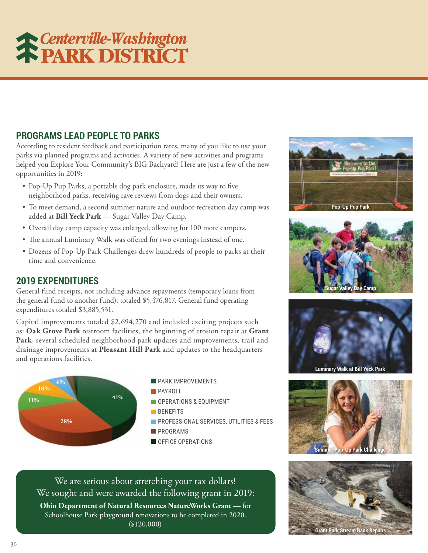# **Centerville-Washington**<br> **FEARK DISTRICT**

### **PROGRAMS LEAD PEOPLE TO PARKS**

According to resident feedback and participation rates, many of you like to use your parks via planned programs and activities. A variety of new activities and programs helped you Explore Your Community's BIG Backyard! Here are just a few of the new opportunities in 2019:

- Pop-Up Pup Parks, a portable dog park enclosure, made its way to five neighborhood parks, receiving rave reviews from dogs and their owners.
- To meet demand, a second summer nature and outdoor recreation day camp was added at **Bill Yeck Park** — Sugar Valley Day Camp.
- Overall day camp capacity was enlarged, allowing for 100 more campers.
- The annual Luminary Walk was offered for two evenings instead of one.
- Dozens of Pop-Up Park Challenges drew hundreds of people to parks at their time and convenience.

#### **2019 EXPENDITURES**

General fund receipts, not including advance repayments (temporary loans from the general fund to another fund), totaled \$5,476,817. General fund operating expenditures totaled \$3,885,531.

Capital improvements totaled \$2,694,270 and included exciting projects such as: **Oak Grove Park** restroom facilities, the beginning of erosion repair at **Grant Park**, several scheduled neighborhood park updates and improvements, trail and drainage improvements at **Pleasant Hill Park** and updates to the headquarters and operations facilities.



### We are serious about stretching your tax dollars! We sought and were awarded the following grant in 2019:

**Ohio Department of Natural Resources NatureWorks Grant —** for Schoolhouse Park playground renovations to be completed in 2020. (\$120,000)







**Luminary Walk at Bill Yeck Park**